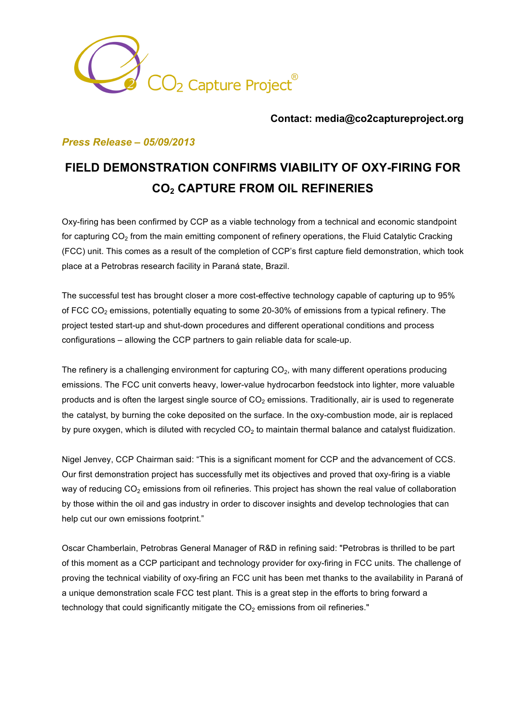

#### **Contact: media@co2captureproject.org**

### *Press Release – 05/09/2013*

# **FIELD DEMONSTRATION CONFIRMS VIABILITY OF OXY-FIRING FOR CO2 CAPTURE FROM OIL REFINERIES**

Oxy-firing has been confirmed by CCP as a viable technology from a technical and economic standpoint for capturing  $CO<sub>2</sub>$  from the main emitting component of refinery operations, the Fluid Catalytic Cracking (FCC) unit. This comes as a result of the completion of CCP's first capture field demonstration, which took place at a Petrobras research facility in Paraná state, Brazil.

The successful test has brought closer a more cost-effective technology capable of capturing up to 95% of FCC CO<sub>2</sub> emissions, potentially equating to some 20-30% of emissions from a typical refinery. The project tested start-up and shut-down procedures and different operational conditions and process configurations – allowing the CCP partners to gain reliable data for scale-up.

The refinery is a challenging environment for capturing  $CO<sub>2</sub>$ , with many different operations producing emissions. The FCC unit converts heavy, lower-value hydrocarbon feedstock into lighter, more valuable products and is often the largest single source of  $CO<sub>2</sub>$  emissions. Traditionally, air is used to regenerate the catalyst, by burning the coke deposited on the surface. In the oxy-combustion mode, air is replaced by pure oxygen, which is diluted with recycled  $CO<sub>2</sub>$  to maintain thermal balance and catalyst fluidization.

Nigel Jenvey, CCP Chairman said: "This is a significant moment for CCP and the advancement of CCS. Our first demonstration project has successfully met its objectives and proved that oxy-firing is a viable way of reducing  $CO<sub>2</sub>$  emissions from oil refineries. This project has shown the real value of collaboration by those within the oil and gas industry in order to discover insights and develop technologies that can help cut our own emissions footprint."

Oscar Chamberlain, Petrobras General Manager of R&D in refining said: "Petrobras is thrilled to be part of this moment as a CCP participant and technology provider for oxy-firing in FCC units. The challenge of proving the technical viability of oxy-firing an FCC unit has been met thanks to the availability in Paraná of a unique demonstration scale FCC test plant. This is a great step in the efforts to bring forward a technology that could significantly mitigate the  $CO<sub>2</sub>$  emissions from oil refineries."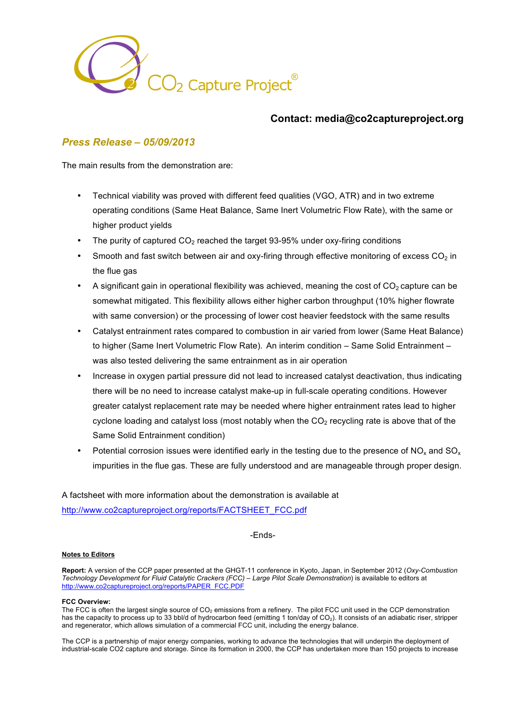

### **Contact: media@co2captureproject.org**

## *Press Release – 05/09/2013*

The main results from the demonstration are:

- Technical viability was proved with different feed qualities (VGO, ATR) and in two extreme operating conditions (Same Heat Balance, Same Inert Volumetric Flow Rate), with the same or higher product yields
- The purity of captured  $CO<sub>2</sub>$  reached the target 93-95% under oxy-firing conditions
- Smooth and fast switch between air and oxy-firing through effective monitoring of excess  $CO<sub>2</sub>$  in the flue gas
- A significant gain in operational flexibility was achieved, meaning the cost of  $CO<sub>2</sub>$  capture can be somewhat mitigated. This flexibility allows either higher carbon throughput (10% higher flowrate with same conversion) or the processing of lower cost heavier feedstock with the same results
- Catalyst entrainment rates compared to combustion in air varied from lower (Same Heat Balance) to higher (Same Inert Volumetric Flow Rate). An interim condition – Same Solid Entrainment – was also tested delivering the same entrainment as in air operation
- Increase in oxygen partial pressure did not lead to increased catalyst deactivation, thus indicating there will be no need to increase catalyst make-up in full-scale operating conditions. However greater catalyst replacement rate may be needed where higher entrainment rates lead to higher cyclone loading and catalyst loss (most notably when the  $CO<sub>2</sub>$  recycling rate is above that of the Same Solid Entrainment condition)
- Potential corrosion issues were identified early in the testing due to the presence of  $NO<sub>x</sub>$  and  $SO<sub>x</sub>$ impurities in the flue gas. These are fully understood and are manageable through proper design.

A factsheet with more information about the demonstration is available at http://www.co2captureproject.org/reports/FACTSHEET\_FCC.pdf

-Ends-

#### **Notes to Editors**

**Report:** A version of the CCP paper presented at the GHGT-11 conference in Kyoto, Japan, in September 2012 (*Oxy-Combustion Technology Development for Fluid Catalytic Crackers (FCC) – Large Pilot Scale Demonstration*) is available to editors at http://www.co2captureproject.org/reports/PAPER\_FCC.PDF

#### **FCC Overview:**

The FCC is often the largest single source of CO<sub>2</sub> emissions from a refinery. The pilot FCC unit used in the CCP demonstration has the capacity to process up to 33 bbl/d of hydrocarbon feed (emitting 1 ton/day of  $CO<sub>2</sub>$ ). It consists of an adiabatic riser, stripper and regenerator, which allows simulation of a commercial FCC unit, including the energy balance.

The CCP is a partnership of major energy companies, working to advance the technologies that will underpin the deployment of industrial-scale CO2 capture and storage. Since its formation in 2000, the CCP has undertaken more than 150 projects to increase